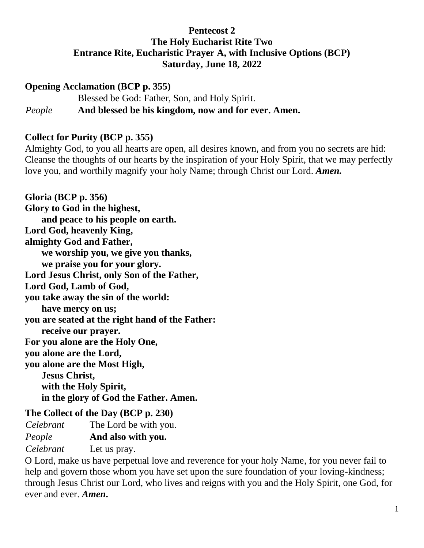## **Pentecost 2 The Holy Eucharist Rite Two Entrance Rite, Eucharistic Prayer A, with Inclusive Options (BCP) Saturday, June 18, 2022**

#### **Opening Acclamation (BCP p. 355)**

Blessed be God: Father, Son, and Holy Spirit. *People* **And blessed be his kingdom, now and for ever. Amen.**

#### **Collect for Purity (BCP p. 355)**

Almighty God, to you all hearts are open, all desires known, and from you no secrets are hid: Cleanse the thoughts of our hearts by the inspiration of your Holy Spirit, that we may perfectly love you, and worthily magnify your holy Name; through Christ our Lord. *Amen.*

**Gloria (BCP p. 356) Glory to God in the highest, and peace to his people on earth. Lord God, heavenly King, almighty God and Father, we worship you, we give you thanks, we praise you for your glory. Lord Jesus Christ, only Son of the Father, Lord God, Lamb of God, you take away the sin of the world: have mercy on us; you are seated at the right hand of the Father: receive our prayer. For you alone are the Holy One, you alone are the Lord, you alone are the Most High, Jesus Christ, with the Holy Spirit, in the glory of God the Father. Amen.**

#### **The Collect of the Day (BCP p. 230)**

*Celebrant* The Lord be with you. *People* **And also with you.** *Celebrant* Let us pray.

O Lord, make us have perpetual love and reverence for your holy Name, for you never fail to help and govern those whom you have set upon the sure foundation of your loving-kindness; through Jesus Christ our Lord, who lives and reigns with you and the Holy Spirit, one God, for ever and ever. *Amen***.**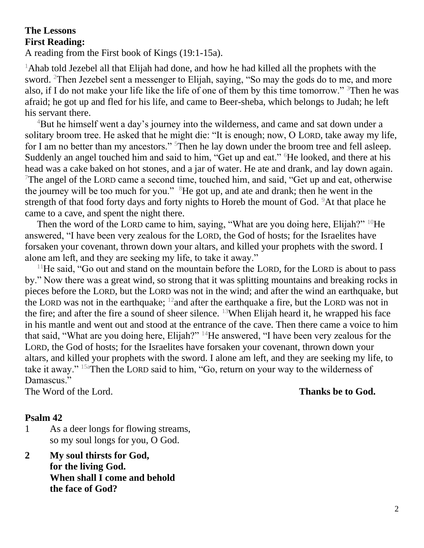#### **The Lessons First Reading:**

A reading from the First book of Kings (19:1-15a).

 $1$ Ahab told Jezebel all that Elijah had done, and how he had killed all the prophets with the sword. <sup>2</sup>Then Jezebel sent a messenger to Elijah, saying, "So may the gods do to me, and more also, if I do not make your life like the life of one of them by this time tomorrow." <sup>3</sup>Then he was afraid; he got up and fled for his life, and came to Beer-sheba, which belongs to Judah; he left his servant there.

<sup>4</sup>But he himself went a day's journey into the wilderness, and came and sat down under a solitary broom tree. He asked that he might die: "It is enough; now, O LORD, take away my life, for I am no better than my ancestors." <sup>5</sup>Then he lay down under the broom tree and fell asleep. Suddenly an angel touched him and said to him, "Get up and eat." <sup>6</sup>He looked, and there at his head was a cake baked on hot stones, and a jar of water. He ate and drank, and lay down again. <sup>7</sup>The angel of the LORD came a second time, touched him, and said, "Get up and eat, otherwise the journey will be too much for you." <sup>8</sup>He got up, and ate and drank; then he went in the strength of that food forty days and forty nights to Horeb the mount of God.  $9$ At that place he came to a cave, and spent the night there.

Then the word of the LORD came to him, saying, "What are you doing here, Elijah?"  $^{10}$ He answered, "I have been very zealous for the LORD, the God of hosts; for the Israelites have forsaken your covenant, thrown down your altars, and killed your prophets with the sword. I alone am left, and they are seeking my life, to take it away."

 $11$ He said, "Go out and stand on the mountain before the LORD, for the LORD is about to pass by." Now there was a great wind, so strong that it was splitting mountains and breaking rocks in pieces before the LORD, but the LORD was not in the wind; and after the wind an earthquake, but the LORD was not in the earthquake;  $^{12}$  and after the earthquake a fire, but the LORD was not in the fire; and after the fire a sound of sheer silence. <sup>13</sup>When Elijah heard it, he wrapped his face in his mantle and went out and stood at the entrance of the cave. Then there came a voice to him that said, "What are you doing here, Elijah?" <sup>14</sup>He answered, "I have been very zealous for the LORD, the God of hosts; for the Israelites have forsaken your covenant, thrown down your altars, and killed your prophets with the sword. I alone am left, and they are seeking my life, to take it away." 15aThen the LORD said to him, "Go, return on your way to the wilderness of Damascus."

The Word of the Lord. **Thanks be to God.**

#### **Psalm 42**

- 1 As a deer longs for flowing streams, so my soul longs for you, O God.
- **2 My soul thirsts for God, for the living God. When shall I come and behold the face of God?**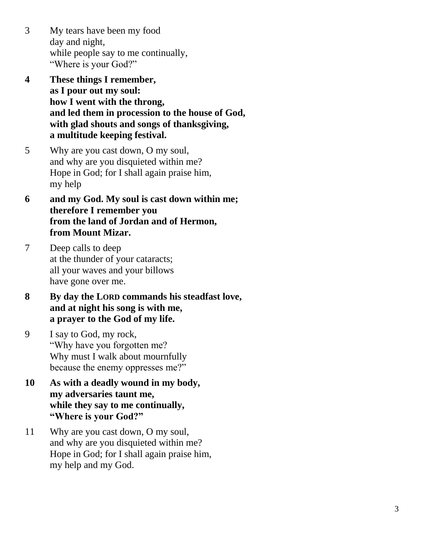- 3 My tears have been my food day and night, while people say to me continually, "Where is your God?"
- **4 These things I remember, as I pour out my soul: how I went with the throng, and led them in procession to the house of God, with glad shouts and songs of thanksgiving, a multitude keeping festival.**
- 5 Why are you cast down, O my soul, and why are you disquieted within me? Hope in God; for I shall again praise him, my help
- **6 and my God. My soul is cast down within me; therefore I remember you from the land of Jordan and of Hermon, from Mount Mizar.**
- 7 Deep calls to deep at the thunder of your cataracts; all your waves and your billows have gone over me .
- **8 By day the LORD commands his steadfast love, and at night his song is with me, a prayer to the God of my life.**
- 9 I say to God, my rock, "Why have you forgotten me? Why must I walk about mournfully because the enemy oppresses me?"
- **10 As with a deadly wound in my body, my adversaries taunt me, while they say to me continually, "Where is your God?"**
- 11 Why are you cast down, O my soul, and why are you disquieted within me? Hope in God; for I shall again praise him, my help and my God.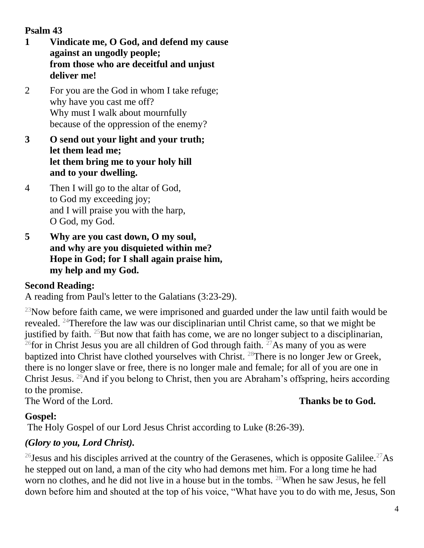# **Psalm 43**

- **1 Vindicate me, O God, and defend my cause against an ungodly people; from those who are deceitful and unjust deliver me!**
- 2 For you are the God in whom I take refuge; why have you cast me off? Why must I walk about mournfully because of the oppression of the enemy?
- **3 O send out your light and your truth; let them lead me; let them bring me to your holy hill and to your dwelling.**
- 4 Then I will go to the altar of God, to God my exceeding joy; and I will praise you with the harp, O God, my God.
- **5 Why are you cast down, O my soul, and why are you disquieted within me? Hope in God; for I shall again praise him, my help and my God.**

# **Second Reading:**

A reading from Paul's letter to the Galatians (3:23-29).

 $^{23}$ Now before faith came, we were imprisoned and guarded under the law until faith would be revealed. <sup>24</sup>Therefore the law was our disciplinarian until Christ came, so that we might be justified by faith. <sup>25</sup>But now that faith has come, we are no longer subject to a disciplinarian, <sup>26</sup>for in Christ Jesus you are all children of God through faith. <sup>27</sup>As many of you as were baptized into Christ have clothed yourselves with Christ. <sup>28</sup>There is no longer Jew or Greek, there is no longer slave or free, there is no longer male and female; for all of you are one in Christ Jesus. <sup>29</sup>And if you belong to Christ, then you are Abraham's offspring, heirs according to the promise.

The Word of the Lord. **Thanks be to God.**

# **Gospel:**

The Holy Gospel of our Lord Jesus Christ according to Luke (8:26-39).

# *(Glory to you, Lord Christ).*

<sup>26</sup> Jesus and his disciples arrived at the country of the Gerasenes, which is opposite Galilee.<sup>27</sup>As he stepped out on land, a man of the city who had demons met him. For a long time he had worn no clothes, and he did not live in a house but in the tombs. <sup>28</sup>When he saw Jesus, he fell down before him and shouted at the top of his voice, "What have you to do with me, Jesus, Son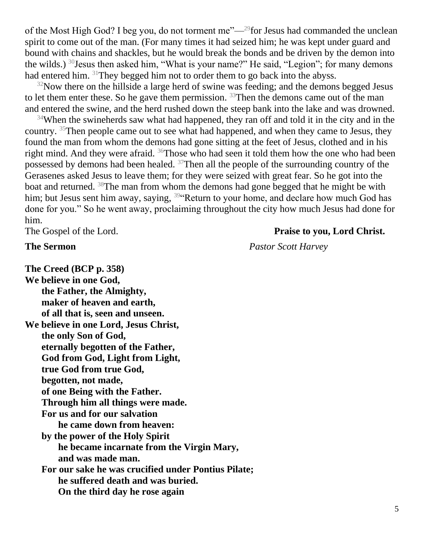of the Most High God? I beg you, do not torment me"— $^{29}$  for Jesus had commanded the unclean spirit to come out of the man. (For many times it had seized him; he was kept under guard and bound with chains and shackles, but he would break the bonds and be driven by the demon into the wilds.)  $30$  Jesus then asked him, "What is your name?" He said, "Legion"; for many demons had entered him. <sup>31</sup>They begged him not to order them to go back into the abyss.

 $32$ Now there on the hillside a large herd of swine was feeding; and the demons begged Jesus to let them enter these. So he gave them permission.  $33$ Then the demons came out of the man and entered the swine, and the herd rushed down the steep bank into the lake and was drowned.

 $34$ When the swineherds saw what had happened, they ran off and told it in the city and in the country. <sup>35</sup>Then people came out to see what had happened, and when they came to Jesus, they found the man from whom the demons had gone sitting at the feet of Jesus, clothed and in his right mind. And they were afraid. <sup>36</sup>Those who had seen it told them how the one who had been possessed by demons had been healed. <sup>37</sup>Then all the people of the surrounding country of the Gerasenes asked Jesus to leave them; for they were seized with great fear. So he got into the boat and returned. <sup>38</sup>The man from whom the demons had gone begged that he might be with him; but Jesus sent him away, saying, <sup>39"</sup>Return to your home, and declare how much God has done for you." So he went away, proclaiming throughout the city how much Jesus had done for him.

#### The Gospel of the Lord. **Praise to you, Lord Christ.**

**The Sermon** *Pastor Scott Harvey*

**The Creed (BCP p. 358) We believe in one God, the Father, the Almighty, maker of heaven and earth, of all that is, seen and unseen. We believe in one Lord, Jesus Christ, the only Son of God, eternally begotten of the Father, God from God, Light from Light, true God from true God, begotten, not made, of one Being with the Father. Through him all things were made. For us and for our salvation he came down from heaven: by the power of the Holy Spirit he became incarnate from the Virgin Mary, and was made man. For our sake he was crucified under Pontius Pilate; he suffered death and was buried. On the third day he rose again**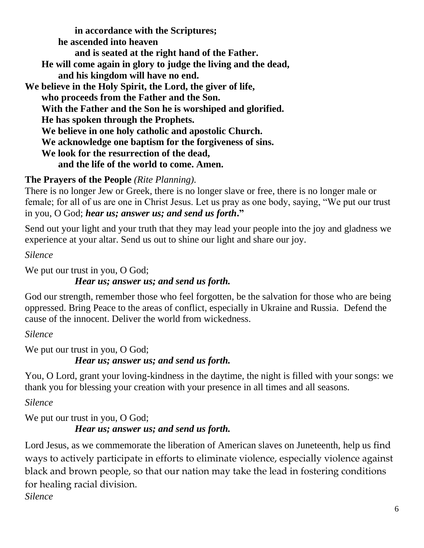**in accordance with the Scriptures; he ascended into heaven and is seated at the right hand of the Father. He will come again in glory to judge the living and the dead, and his kingdom will have no end. We believe in the Holy Spirit, the Lord, the giver of life, who proceeds from the Father and the Son. With the Father and the Son he is worshiped and glorified. He has spoken through the Prophets. We believe in one holy catholic and apostolic Church. We acknowledge one baptism for the forgiveness of sins. We look for the resurrection of the dead, and the life of the world to come. Amen.**

# **The Prayers of the People** *(Rite Planning).*

There is no longer Jew or Greek, there is no longer slave or free, there is no longer male or female; for all of us are one in Christ Jesus. Let us pray as one body, saying, "We put our trust in you, O God; *hear us; answer us; and send us forth***."**

Send out your light and your truth that they may lead your people into the joy and gladness we experience at your altar. Send us out to shine our light and share our joy.

*Silence*

We put our trust in you, O God;

## *Hear us; answer us; and send us forth.*

God our strength, remember those who feel forgotten, be the salvation for those who are being oppressed. Bring Peace to the areas of conflict, especially in Ukraine and Russia. Defend the cause of the innocent. Deliver the world from wickedness.

*Silence*

We put our trust in you, O God; *Hear us; answer us; and send us forth.*

You, O Lord, grant your loving-kindness in the daytime, the night is filled with your songs: we thank you for blessing your creation with your presence in all times and all seasons.

*Silence*

We put our trust in you, O God; *Hear us; answer us; and send us forth.*

Lord Jesus, as we commemorate the liberation of American slaves on Juneteenth, help us find ways to actively participate in efforts to eliminate violence, especially violence against black and brown people, so that our nation may take the lead in fostering conditions for healing racial division.

*Silence*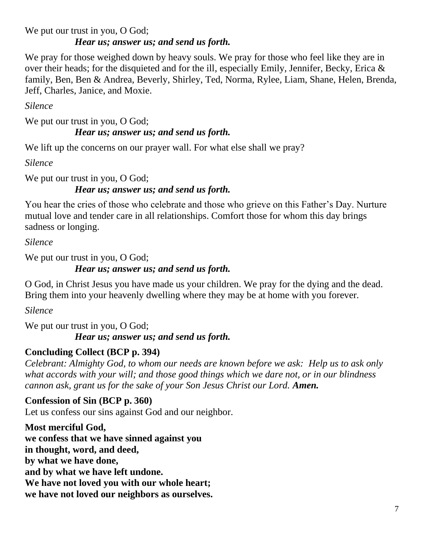We put our trust in you, O God;

*Hear us; answer us; and send us forth.*

We pray for those weighed down by heavy souls. We pray for those who feel like they are in over their heads; for the disquieted and for the ill, especially Emily, Jennifer, Becky, Erica & family, Ben, Ben & Andrea, Beverly, Shirley, Ted, Norma, Rylee, Liam, Shane, Helen, Brenda, Jeff, Charles, Janice, and Moxie.

*Silence*

We put our trust in you, O God; *Hear us; answer us; and send us forth.*

We lift up the concerns on our prayer wall. For what else shall we pray?

*Silence*

We put our trust in you, O God; *Hear us; answer us; and send us forth.*

You hear the cries of those who celebrate and those who grieve on this Father's Day. Nurture mutual love and tender care in all relationships. Comfort those for whom this day brings sadness or longing.

*Silence*

We put our trust in you, O God;

*Hear us; answer us; and send us forth.*

O God, in Christ Jesus you have made us your children. We pray for the dying and the dead. Bring them into your heavenly dwelling where they may be at home with you forever.

*Silence*

We put our trust in you, O God; *Hear us; answer us; and send us forth.*

# **Concluding Collect (BCP p. 394)**

*Celebrant: Almighty God, to whom our needs are known before we ask: Help us to ask only what accords with your will; and those good things which we dare not, or in our blindness cannon ask, grant us for the sake of your Son Jesus Christ our Lord. Amen.*

**Confession of Sin (BCP p. 360)** Let us confess our sins against God and our neighbor.

**Most merciful God, we confess that we have sinned against you in thought, word, and deed, by what we have done, and by what we have left undone. We have not loved you with our whole heart; we have not loved our neighbors as ourselves.**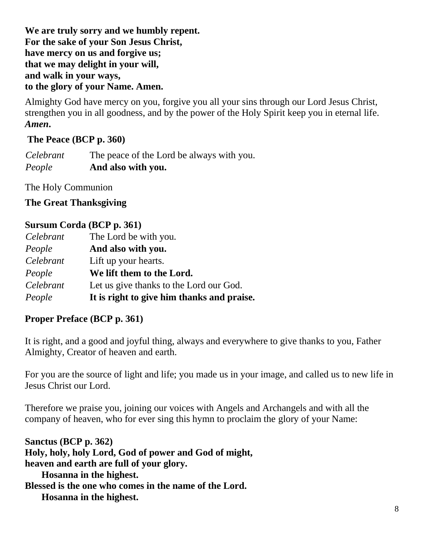**We are truly sorry and we humbly repent. For the sake of your Son Jesus Christ, have mercy on us and forgive us; that we may delight in your will, and walk in your ways, to the glory of your Name. Amen.**

Almighty God have mercy on you, forgive you all your sins through our Lord Jesus Christ, strengthen you in all goodness, and by the power of the Holy Spirit keep you in eternal life. *Amen***.**

#### **The Peace (BCP p. 360)**

*Celebrant* The peace of the Lord be always with you. *People* **And also with you.**

The Holy Communion

#### **Sursum Corda (BCP p. 361)**

| <b>The Great Thanksgiving</b><br>Sursum Corda (BCP p. 361) |                                                                                                                              |
|------------------------------------------------------------|------------------------------------------------------------------------------------------------------------------------------|
|                                                            |                                                                                                                              |
| People                                                     | And also with you.                                                                                                           |
| Celebrant                                                  | Lift up your hearts.                                                                                                         |
| People                                                     | We lift them to the Lord.                                                                                                    |
| Celebrant                                                  | Let us give thanks to the Lord our God.                                                                                      |
| People                                                     | It is right to give him thanks and praise.                                                                                   |
|                                                            | <b>Proper Preface (BCP p. 361)</b>                                                                                           |
|                                                            | It is right, and a good and joyful thing, always and everywh<br>Almighty, Creator of heaven and earth.                       |
| Jesus Christ our Lord.                                     | For you are the source of light and life; you made us in you                                                                 |
|                                                            | Therefore we praise you, joining our voices with Angels an<br>company of heaven, who for ever sing this hymn to proclai      |
| Sanctus (BCP p. 362)                                       | Holy, holy, holy Lord, God of power and God of might,<br>heaven and earth are full of your glory.<br>Hosanna in the highest. |
|                                                            | Blessed is the one who comes in the name of the Lord.                                                                        |
|                                                            | Hosanna in the highest.                                                                                                      |

## **Proper Preface (BCP p. 361)**

It is right, and a good and joyful thing, always and everywhere to give thanks to you, Father Almighty, Creator of heaven and earth.

For you are the source of light and life; you made us in your image, and called us to new life in Jesus Christ our Lord.

Therefore we praise you, joining our voices with Angels and Archangels and with all the company of heaven, who for ever sing this hymn to proclaim the glory of your Name: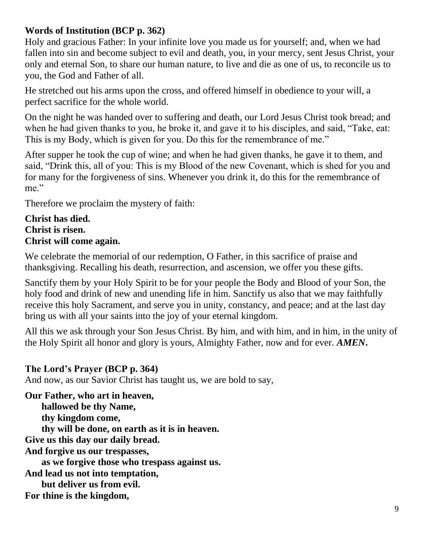# **Words of Institution (BCP p. 362)**

Holy and gracious Father: In your infinite love you made us for yourself; and, when we had fallen into sin and become subject to evil and death, you, in your mercy, sent Jesus Christ, your only and eternal Son, to share our human nature, to live and die as one of us, to reconcile us to you, the God and Father of all.

He stretched out his arms upon the cross, and offered himself in obedience to your will, a perfect sacrifice for the whole world.

On the night he was handed over to suffering and death, our Lord Jesus Christ took bread; and when he had given thanks to you, he broke it, and gave it to his disciples, and said, "Take, eat: This is my Body, which is given for you. Do this for the remembrance of me."

After supper he took the cup of wine; and when he had given thanks, he gave it to them, and said, "Drink this, all of you: This is my Blood of the new Covenant, which is shed for you and for many for the forgiveness of sins. Whenever you drink it, do this for the remembrance of me."

Therefore we proclaim the mystery of faith:

#### **Christ has died. Christ is risen. Christ will come again.**

We celebrate the memorial of our redemption, O Father, in this sacrifice of praise and thanksgiving. Recalling his death, resurrection, and ascension, we offer you these gifts.

Sanctify them by your Holy Spirit to be for your people the Body and Blood of your Son, the holy food and drink of new and unending life in him. Sanctify us also that we may faithfully receive this holy Sacrament, and serve you in unity, constancy, and peace; and at the last day bring us with all your saints into the joy of your eternal kingdom.

All this we ask through your Son Jesus Christ. By him, and with him, and in him, in the unity of the Holy Spirit all honor and glory is yours, Almighty Father, now and for ever. *AMEN***.**

# **The Lord's Prayer (BCP p. 364)**

And now, as our Savior Christ has taught us, we are bold to say,

**Our Father, who art in heaven, hallowed be thy Name, thy kingdom come, thy will be done, on earth as it is in heaven. Give us this day our daily bread. And forgive us our trespasses, as we forgive those who trespass against us. And lead us not into temptation, but deliver us from evil. For thine is the kingdom,**